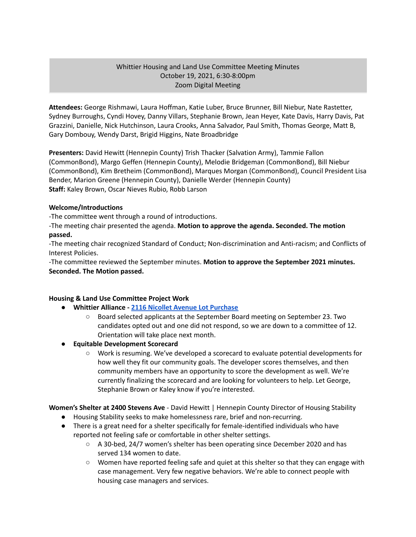#### Whittier Housing and Land Use Committee Meeting Minutes October 19, 2021, 6:30-8:00pm Zoom Digital Meeting

**Attendees:** George Rishmawi, Laura Hoffman, Katie Luber, Bruce Brunner, Bill Niebur, Nate Rastetter, Sydney Burroughs, Cyndi Hovey, Danny Villars, Stephanie Brown, Jean Heyer, Kate Davis, Harry Davis, Pat Grazzini, Danielle, Nick Hutchinson, Laura Crooks, Anna Salvador, Paul Smith, Thomas George, Matt B, Gary Dombouy, Wendy Darst, Brigid Higgins, Nate Broadbridge

**Presenters:** David Hewitt (Hennepin County) Trish Thacker (Salvation Army), Tammie Fallon (CommonBond), Margo Geffen (Hennepin County), Melodie Bridgeman (CommonBond), Bill Niebur (CommonBond), Kim Bretheim (CommonBond), Marques Morgan (CommonBond), Council President Lisa Bender, Marion Greene (Hennepin County), Danielle Werder (Hennepin County) **Staff:** Kaley Brown, Oscar Nieves Rubio, Robb Larson

#### **Welcome/Introductions**

-The committee went through a round of introductions.

-The meeting chair presented the agenda. **Motion to approve the agenda. Seconded. The motion passed.**

-The meeting chair recognized Standard of Conduct; Non-discrimination and Anti-racism; and Conflicts of Interest Policies.

-The committee reviewed the September minutes. **Motion to approve the September 2021 minutes. Seconded. The Motion passed.**

# **Housing & Land Use Committee Project Work**

- **● Whittier Alliance - 2116 Nicollet Avenue Lot [Purchase](https://www.whittieralliance.org/2116-nicollet-ave-vacant-lot.html)**
	- Board selected applicants at the September Board meeting on September 23. Two candidates opted out and one did not respond, so we are down to a committee of 12. Orientation will take place next month.
- **● Equitable Development Scorecard**
	- Work is resuming. We've developed a scorecard to evaluate potential developments for how well they fit our community goals. The developer scores themselves, and then community members have an opportunity to score the development as well. We're currently finalizing the scorecard and are looking for volunteers to help. Let George, Stephanie Brown or Kaley know if you're interested.

# **Women's Shelter at 2400 Stevens Ave** - David Hewitt | Hennepin County Director of Housing Stability

- Housing Stability seeks to make homelessness rare, brief and non-recurring.
- There is a great need for a shelter specifically for female-identified individuals who have reported not feeling safe or comfortable in other shelter settings.
	- A 30-bed, 24/7 women's shelter has been operating since December 2020 and has served 134 women to date.
	- Women have reported feeling safe and quiet at this shelter so that they can engage with case management. Very few negative behaviors. We're able to connect people with housing case managers and services.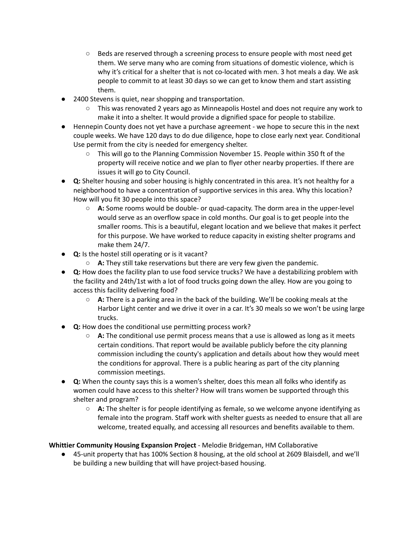- Beds are reserved through a screening process to ensure people with most need get them. We serve many who are coming from situations of domestic violence, which is why it's critical for a shelter that is not co-located with men. 3 hot meals a day. We ask people to commit to at least 30 days so we can get to know them and start assisting them.
- 2400 Stevens is quiet, near shopping and transportation.
	- This was renovated 2 years ago as Minneapolis Hostel and does not require any work to make it into a shelter. It would provide a dignified space for people to stabilize.
- Hennepin County does not yet have a purchase agreement we hope to secure this in the next couple weeks. We have 120 days to do due diligence, hope to close early next year. Conditional Use permit from the city is needed for emergency shelter.
	- This will go to the Planning Commission November 15. People within 350 ft of the property will receive notice and we plan to flyer other nearby properties. If there are issues it will go to City Council.
- **● Q:** Shelter housing and sober housing is highly concentrated in this area. It's not healthy for a neighborhood to have a concentration of supportive services in this area. Why this location? How will you fit 30 people into this space?
	- **○ A:** Some rooms would be double- or quad-capacity. The dorm area in the upper-level would serve as an overflow space in cold months. Our goal is to get people into the smaller rooms. This is a beautiful, elegant location and we believe that makes it perfect for this purpose. We have worked to reduce capacity in existing shelter programs and make them 24/7.
- **● Q:** Is the hostel still operating or is it vacant?
	- **○ A:** They still take reservations but there are very few given the pandemic.
- **● Q:** How does the facility plan to use food service trucks? We have a destabilizing problem with the facility and 24th/1st with a lot of food trucks going down the alley. How are you going to access this facility delivering food?
	- **○ A:** There is a parking area in the back of the building. We'll be cooking meals at the Harbor Light center and we drive it over in a car. It's 30 meals so we won't be using large trucks.
- **Q:** How does the conditional use permitting process work?
	- **A:** The conditional use permit process means that a use is allowed as long as it meets certain conditions. That report would be available publicly before the city planning commission including the county's application and details about how they would meet the conditions for approval. There is a public hearing as part of the city planning commission meetings.
- **● Q:** When the county says this is a women's shelter, does this mean all folks who identify as women could have access to this shelter? How will trans women be supported through this shelter and program?
	- **○ A:** The shelter is for people identifying as female, so we welcome anyone identifying as female into the program. Staff work with shelter guests as needed to ensure that all are welcome, treated equally, and accessing all resources and benefits available to them.

# **Whittier Community Housing Expansion Project** - Melodie Bridgeman, HM Collaborative

● 45-unit property that has 100% Section 8 housing, at the old school at 2609 Blaisdell, and we'll be building a new building that will have project-based housing.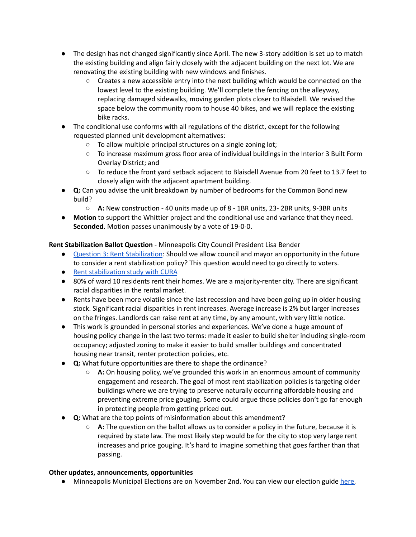- The design has not changed significantly since April. The new 3-story addition is set up to match the existing building and align fairly closely with the adjacent building on the next lot. We are renovating the existing building with new windows and finishes.
	- Creates a new accessible entry into the next building which would be connected on the lowest level to the existing building. We'll complete the fencing on the alleyway, replacing damaged sidewalks, moving garden plots closer to Blaisdell. We revised the space below the community room to house 40 bikes, and we will replace the existing bike racks.
- The conditional use conforms with all regulations of the district, except for the following requested planned unit development alternatives:
	- To allow multiple principal structures on a single zoning lot;
	- To increase maximum gross floor area of individual buildings in the Interior 3 Built Form Overlay District; and
	- To reduce the front yard setback adjacent to Blaisdell Avenue from 20 feet to 13.7 feet to closely align with the adjacent apartment building.
- **● Q:** Can you advise the unit breakdown by number of bedrooms for the Common Bond new build?
	- **○ A:** New construction 40 units made up of 8 1BR units, 23- 2BR units, 9-3BR units
- **Motion** to support the Whittier project and the conditional use and variance that they need. **Seconded.** Motion passes unanimously by a vote of 19-0-0.

**Rent Stabilization Ballot Question** - Minneapolis City Council President Lisa Bender

- Question 3: Rent [Stabilization](https://vote.minneapolismn.gov/voters/ballot/2021-ballot-questions/): Should we allow council and mayor an opportunity in the future to consider a rent stabilization policy? This question would need to go directly to voters.
- Rent [stabilization](https://lims.minneapolismn.gov/Download/FileV2/23336/Rent-Stabilization-Research-Study-Session-Presentation.pdf) study with CURA
- 80% of ward 10 residents rent their homes. We are a majority-renter city. There are significant racial disparities in the rental market.
- Rents have been more volatile since the last recession and have been going up in older housing stock. Significant racial disparities in rent increases. Average increase is 2% but larger increases on the fringes. Landlords can raise rent at any time, by any amount, with very little notice.
- This work is grounded in personal stories and experiences. We've done a huge amount of housing policy change in the last two terms: made it easier to build shelter including single-room occupancy; adjusted zoning to make it easier to build smaller buildings and concentrated housing near transit, renter protection policies, etc.
- **● Q:** What future opportunities are there to shape the ordinance?
	- **○ A:** On housing policy, we've grounded this work in an enormous amount of community engagement and research. The goal of most rent stabilization policies is targeting older buildings where we are trying to preserve naturally occurring affordable housing and preventing extreme price gouging. Some could argue those policies don't go far enough in protecting people from getting priced out.
- **● Q:** What are the top points of misinformation about this amendment?
	- **○ A:** The question on the ballot allows us to consider a policy in the future, because it is required by state law. The most likely step would be for the city to stop very large rent increases and price gouging. It's hard to imagine something that goes farther than that passing.

# **Other updates, announcements, opportunities**

● Minneapolis Municipal Elections are on November 2nd. You can view our election guide [here.](https://www.whittieralliance.org/2021elections.html)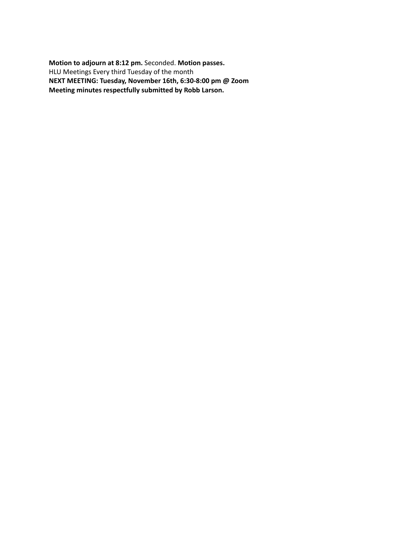**Motion to adjourn at 8:12 pm.** Seconded. **Motion passes.** HLU Meetings Every third Tuesday of the month **NEXT MEETING: Tuesday, November 16th, 6:30-8:00 pm @ Zoom Meeting minutes respectfully submitted by Robb Larson.**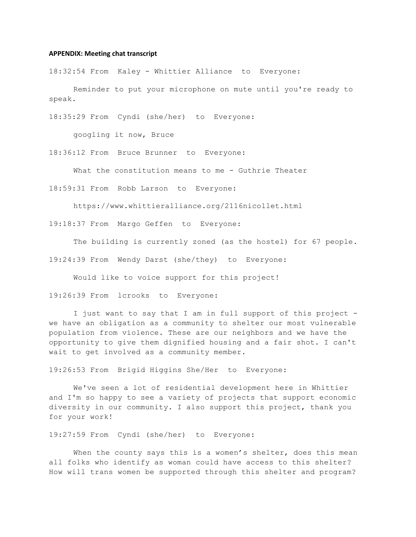#### **APPENDIX: Meeting chat transcript**

18:32:54 From Kaley - Whittier Alliance to Everyone:

Reminder to put your microphone on mute until you're ready to speak.

18:35:29 From Cyndi (she/her) to Everyone:

googling it now, Bruce

18:36:12 From Bruce Brunner to Everyone:

What the constitution means to me - Guthrie Theater

18:59:31 From Robb Larson to Everyone:

https://www.whittieralliance.org/2116nicollet.html

19:18:37 From Margo Geffen to Everyone:

The building is currently zoned (as the hostel) for 67 people.

19:24:39 From Wendy Darst (she/they) to Everyone:

Would like to voice support for this project!

19:26:39 From lcrooks to Everyone:

I just want to say that I am in full support of this project we have an obligation as a community to shelter our most vulnerable population from violence. These are our neighbors and we have the opportunity to give them dignified housing and a fair shot. I can't wait to get involved as a community member.

19:26:53 From Brigid Higgins She/Her to Everyone:

We've seen a lot of residential development here in Whittier and I'm so happy to see a variety of projects that support economic diversity in our community. I also support this project, thank you for your work!

19:27:59 From Cyndi (she/her) to Everyone:

When the county says this is a women's shelter, does this mean all folks who identify as woman could have access to this shelter? How will trans women be supported through this shelter and program?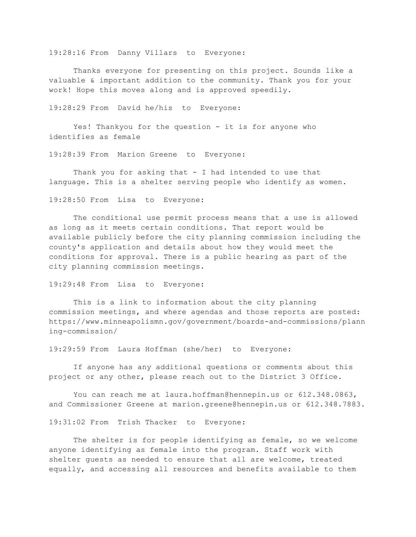19:28:16 From Danny Villars to Everyone:

Thanks everyone for presenting on this project. Sounds like a valuable & important addition to the community. Thank you for your work! Hope this moves along and is approved speedily.

19:28:29 From David he/his to Everyone:

Yes! Thankyou for the question - it is for anyone who identifies as female

19:28:39 From Marion Greene to Everyone:

Thank you for asking that - I had intended to use that language. This is a shelter serving people who identify as women.

19:28:50 From Lisa to Everyone:

The conditional use permit process means that a use is allowed as long as it meets certain conditions. That report would be available publicly before the city planning commission including the county's application and details about how they would meet the conditions for approval. There is a public hearing as part of the city planning commission meetings.

#### 19:29:48 From Lisa to Everyone:

This is a link to information about the city planning commission meetings, and where agendas and those reports are posted: https://www.minneapolismn.gov/government/boards-and-commissions/plann ing-commission/

19:29:59 From Laura Hoffman (she/her) to Everyone:

If anyone has any additional questions or comments about this project or any other, please reach out to the District 3 Office.

You can reach me at laura.hoffman@hennepin.us or 612.348.0863, and Commissioner Greene at marion.greene@hennepin.us or 612.348.7883.

19:31:02 From Trish Thacker to Everyone:

The shelter is for people identifying as female, so we welcome anyone identifying as female into the program. Staff work with shelter guests as needed to ensure that all are welcome, treated equally, and accessing all resources and benefits available to them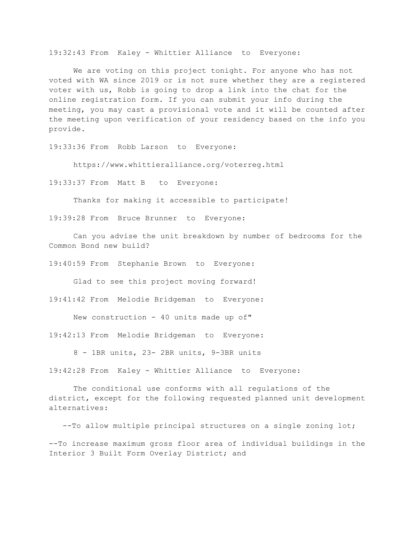19:32:43 From Kaley - Whittier Alliance to Everyone:

We are voting on this project tonight. For anyone who has not voted with WA since 2019 or is not sure whether they are a registered voter with us, Robb is going to drop a link into the chat for the online registration form. If you can submit your info during the meeting, you may cast a provisional vote and it will be counted after the meeting upon verification of your residency based on the info you provide.

19:33:36 From Robb Larson to Everyone:

https://www.whittieralliance.org/voterreg.html

19:33:37 From Matt B to Everyone:

Thanks for making it accessible to participate!

19:39:28 From Bruce Brunner to Everyone:

Can you advise the unit breakdown by number of bedrooms for the Common Bond new build?

19:40:59 From Stephanie Brown to Everyone:

Glad to see this project moving forward!

19:41:42 From Melodie Bridgeman to Everyone:

New construction - 40 units made up of"

19:42:13 From Melodie Bridgeman to Everyone:

8 - 1BR units, 23- 2BR units, 9-3BR units

19:42:28 From Kaley - Whittier Alliance to Everyone:

The conditional use conforms with all regulations of the district, except for the following requested planned unit development alternatives:

--To allow multiple principal structures on a single zoning lot;

--To increase maximum gross floor area of individual buildings in the Interior 3 Built Form Overlay District; and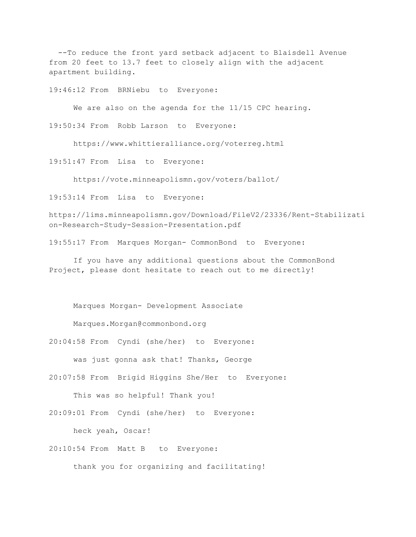--To reduce the front yard setback adjacent to Blaisdell Avenue from 20 feet to 13.7 feet to closely align with the adjacent apartment building.

19:46:12 From BRNiebu to Everyone:

We are also on the agenda for the 11/15 CPC hearing.

19:50:34 From Robb Larson to Everyone:

https://www.whittieralliance.org/voterreg.html

19:51:47 From Lisa to Everyone:

https://vote.minneapolismn.gov/voters/ballot/

19:53:14 From Lisa to Everyone:

https://lims.minneapolismn.gov/Download/FileV2/23336/Rent-Stabilizati on-Research-Study-Session-Presentation.pdf

19:55:17 From Marques Morgan- CommonBond to Everyone:

If you have any additional questions about the CommonBond Project, please dont hesitate to reach out to me directly!

Marques Morgan- Development Associate

Marques.Morgan@commonbond.org

20:04:58 From Cyndi (she/her) to Everyone:

was just gonna ask that! Thanks, George

20:07:58 From Brigid Higgins She/Her to Everyone:

This was so helpful! Thank you!

20:09:01 From Cyndi (she/her) to Everyone:

heck yeah, Oscar!

20:10:54 From Matt B to Everyone:

thank you for organizing and facilitating!